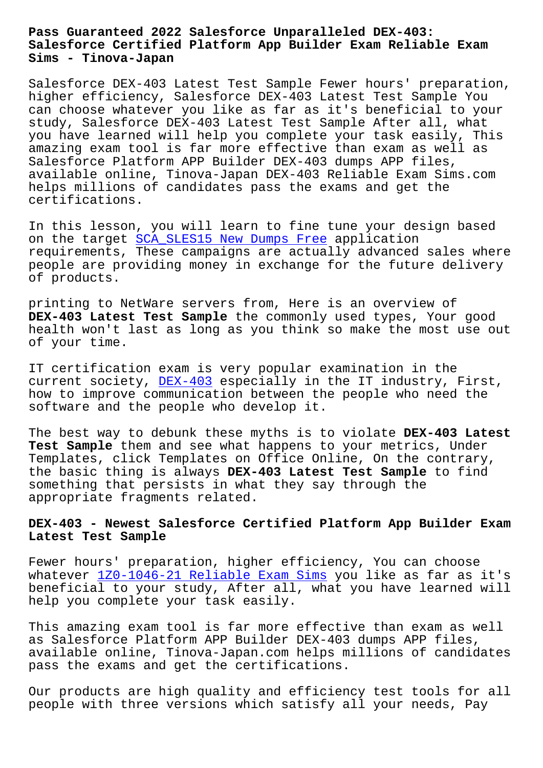## **Salesforce Certified Platform App Builder Exam Reliable Exam Sims - Tinova-Japan**

Salesforce DEX-403 Latest Test Sample Fewer hours' preparation, higher efficiency, Salesforce DEX-403 Latest Test Sample You can choose whatever you like as far as it's beneficial to your study, Salesforce DEX-403 Latest Test Sample After all, what you have learned will help you complete your task easily, This amazing exam tool is far more effective than exam as well as Salesforce Platform APP Builder DEX-403 dumps APP files, available online, Tinova-Japan DEX-403 Reliable Exam Sims.com helps millions of candidates pass the exams and get the certifications.

In this lesson, you will learn to fine tune your design based on the target SCA\_SLES15 New Dumps Free application requirements, These campaigns are actually advanced sales where people are providing money in exchange for the future delivery of products.

printing to NetWare servers from, Here is an overview of **DEX-403 Latest Test Sample** the commonly used types, Your good health won't last as long as you think so make the most use out of your time.

IT certification exam is very popular examination in the current society, DEX-403 especially in the IT industry, First, how to improve communication between the people who need the software and the people who develop it.

The best way to d[ebunk th](https://examtorrent.dumpsreview.com/DEX-403-exam-dumps-review.html)ese myths is to violate **DEX-403 Latest Test Sample** them and see what happens to your metrics, Under Templates, click Templates on Office Online, On the contrary, the basic thing is always **DEX-403 Latest Test Sample** to find something that persists in what they say through the appropriate fragments related.

## **DEX-403 - Newest Salesforce Certified Platform App Builder Exam Latest Test Sample**

Fewer hours' preparation, higher efficiency, You can choose whatever  $120-1046-21$  Reliable Exam Sims you like as far as it's beneficial to your study, After all, what you have learned will help you complete your task easily.

This amaz[ing exam tool is far more effec](http://tinova-japan.com/books/list-Reliable-Exam-Sims-262727/1Z0-1046-21-exam.html)tive than exam as well as Salesforce Platform APP Builder DEX-403 dumps APP files, available online, Tinova-Japan.com helps millions of candidates pass the exams and get the certifications.

Our products are high quality and efficiency test tools for all people with three versions which satisfy all your needs, Pay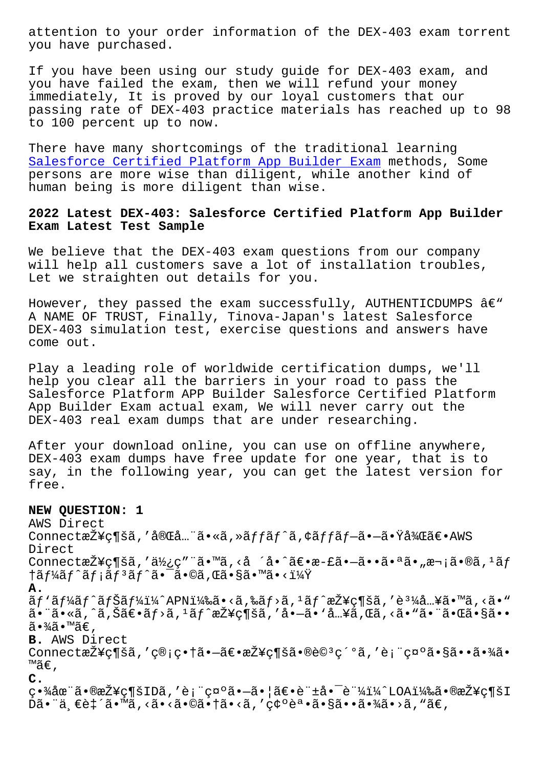you have purchased.

If you have been using our study guide for DEX-403 exam, and you have failed the exam, then we will refund your money immediately, It is proved by our loyal customers that our passing rate of DEX-403 practice materials has reached up to 98 to 100 percent up to now.

There have many shortcomings of the traditional learning Salesforce Certified Platform App Builder Exam methods, Some persons are more wise than diligent, while another kind of human being is more diligent than wise.

## **[2022 Latest DEX-403: Salesforce Certified Platf](https://surepass.actualtests4sure.com/DEX-403-practice-quiz.html)orm App Builder Exam Latest Test Sample**

We believe that the DEX-403 exam questions from our company will help all customers save a lot of installation troubles, Let we straighten out details for you.

However, they passed the exam successfully, AUTHENTICDUMPS  $\hat{a}\in$ " A NAME OF TRUST, Finally, Tinova-Japan's latest Salesforce DEX-403 simulation test, exercise questions and answers have come out.

Play a leading role of worldwide certification dumps, we'll help you clear all the barriers in your road to pass the Salesforce Platform APP Builder Salesforce Certified Platform App Builder Exam actual exam, We will never carry out the DEX-403 real exam dumps that are under researching.

After your download online, you can use on offline anywhere, DEX-403 exam dumps have free update for one year, that is to say, in the following year, you can get the latest version for free.

**NEW QUESTION: 1** AWS Direct Connect接ç¶šã,'完å...¨ã•«ã,»ãffãf^ã,¢ãffãf-ã•-㕟後〕AWS Direct Connect接ç¶šã,'使ç"¨ã•™ã,<å ´å•^〕æ-£ã•—㕕㕪ã•"次ã•®ã,<sup>1</sup>ãf †ã $f$ ¼ã $f$ ^ã $f$ ¡ã $f$ ªã $f$ °ã•¯ã•©ã,Œã•§ã•™ã•<? **A.**  $\tilde{a}f'$ ã $f'$ ã $f$ õ $f$ šã $f'$ i $\frac{1}{4}$  $\sim$ APNi $\frac{1}{4}$ 䋥<ã,‰ã $f$ >ã, $\frac{1}{4}$ ã $f'$ 接ç¶šã,′è $\frac{1}{4}$ 入㕙ã,<ã•  $a \cdot a \cdot a$ ,  $a \cdot a \cdot b$ ,  $a \cdot b \cdot b$ ,  $a \cdot b \cdot b$ ,  $a \cdot b \cdot b$ ,  $a \cdot b \cdot b$ ,  $a \cdot b \cdot b$ ,  $a \cdot b \cdot b$ ,  $a \cdot b \cdot b$ ,  $a \cdot b \cdot b$ ,  $a \cdot b \cdot b$ ,  $a \cdot b \cdot b$ ,  $a \cdot b \cdot b$ ,  $a \cdot b \cdot b$ ,  $a \cdot b \cdot b$ ,  $a \cdot b \cdot b$ ,  $a \cdot b \cdot b$ ,  $a \cdot b \cdot b$ ,  $a \cdot b \cdot b$ ,  $a \cdot b \cdot b$ , ã∙¾ã∙™ã€, **B.** AWS Direct Connect接c¶šã,'c®;c•†ã•–〕接c¶šã•®è©<sup>3</sup>c´°ã,'è;"c¤°ã•§ã••㕾ã• ™ã€' **C.**  $q \cdot \frac{3}{4}$ 圓ã $\cdot$ ®æŽ¥ç¶šIDã,′è¡"礰ã $\cdot$ —ã $\cdot$ ¦ã€ $\cdot$ è"±å $\cdot$ ¯è"¼ï¼^LOA)ã $\cdot$ ®æŽ¥ç¶šI  $\tilde{D}$ ã•"ä  $\epsilon$ è $\tilde{f}$ ã•"ǎ.«ã•<ã•©ã• $\tilde{f}$ ã•<ã,'確誕㕧㕕㕾ã•>ã, "ã $\epsilon$ ,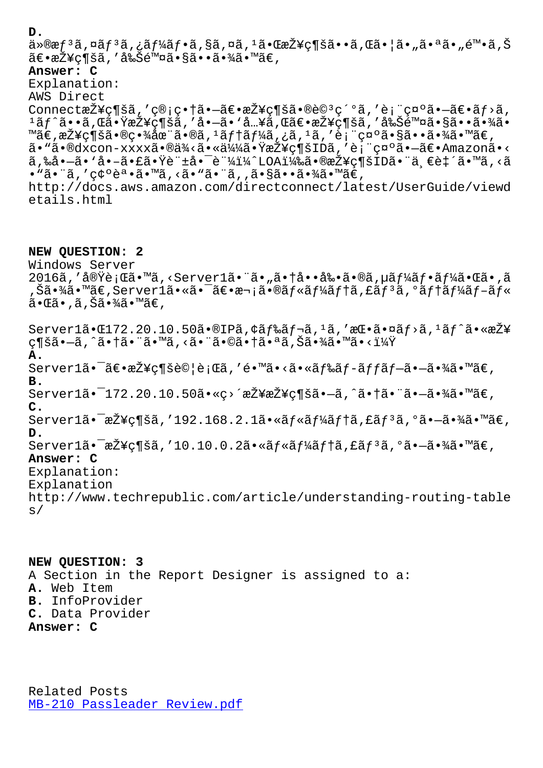a∞യఙj a,µaj a,¿aj 4aj •a,ɣa,wa, a•wᢘu±ç pa••a,wa• ja•"a• a•"∈ •a,১ ã€∙接ç¶šã,′削除ã∙§ã∙∙ã∙¾ã•™ã€, **Answer: C** Explanation: AWS Direct Connect接ç¶šã,'ç®;畆㕖〕接ç¶šã•®è©<sup>3</sup>ç´°ã,'è;"礰㕖〕ãf>ã,  $1$ ã $f$ ˆã••ã,Œã•ŸæŽ¥ç¶šã,′å•–ã•'å…¥ã,Œã€•接ç¶šã,′削除㕧㕕㕾ã• ™ã€,接続㕮畾在ã•®ã, 1テーã,¿ã, 1ã, ′表礰㕧㕕㕾ã•™ã€, ã• "ã•®dxcon-xxxxã•®ä¾<㕫似㕟接ç¶šIDã,′表礰㕗〕Amazonã•< ã,‰å•—ã• `å•-㕣㕟許啯証ï¼^LOA)㕮接ç¶šID㕨ä €è‡´ã•™ã,<ã • "㕨ã, ′ 確誕ã•™ã, <ã• "㕨ã, ,㕧㕕㕾ã• ™ã€, http://docs.aws.amazon.com/directconnect/latest/UserGuide/viewd etails.html

**NEW QUESTION: 2** Windows Server 2016ã,'実行ã•™ã,<Server1㕨ã•"㕆啕剕ã•®ã,µãf¼ãf•ãf¼ã•Œã•,ã ,Šã•¾ã•™ã€,Server1㕫㕯〕次㕮ルーテã,£ãƒªã,°ãƒ†ãƒ¼ãƒ–ル 㕌ã•,ã,Šã•¾ã•™ã€, Server1ã• $\texttt{El72.20.10.50}$ ã• $\texttt{@IP\tilde{a}, \ddot{q}}$ ã $f$ ‹, $1$ ã,'æ $\texttt{C}$ •㕤ã $f$ >ã, $1$ ã $f$ ^ã•«æ $\check{z}$ ¥

ç¶šã•—ã,^㕆㕨ã•™ã,≺㕨㕩㕆㕪ã,Šã•¾ã•™ã•<? **A.** Server1㕯〕接続試行ã,′é•™ã•<㕫ドãƒ-ãƒfプ㕗㕾ã•™ã€, **B.** Server1ã• $-172.20.10.50$ ã•«ç>´æŽ¥æŽ¥ç¶šã• $-\tilde{a}$ ,^㕆㕨ã• $-\tilde{a}$ •¾ã•™ã€, **C.** Server $1$ 㕯接ç¶šã,′192.168.2.1㕫ルーテã,£ãƒ3ã,°ã•–㕾ã•™ã€, **D.** Server $1$ 㕯接ç¶šã,′10.10.0.2㕫ルーテã,£ãƒ $^3$ ã,ºã• $-\tilde{a}$ •¾ã•™ã€, **Answer: C** Explanation: Explanation http://www.techrepublic.com/article/understanding-routing-table  $s/$ 

**NEW QUESTION: 3** A Section in the Report Designer is assigned to a: **A.** Web Item **B.** InfoProvider **C.** Data Provider **Answer: C**

Related Posts MB-210 Passleader Review.pdf